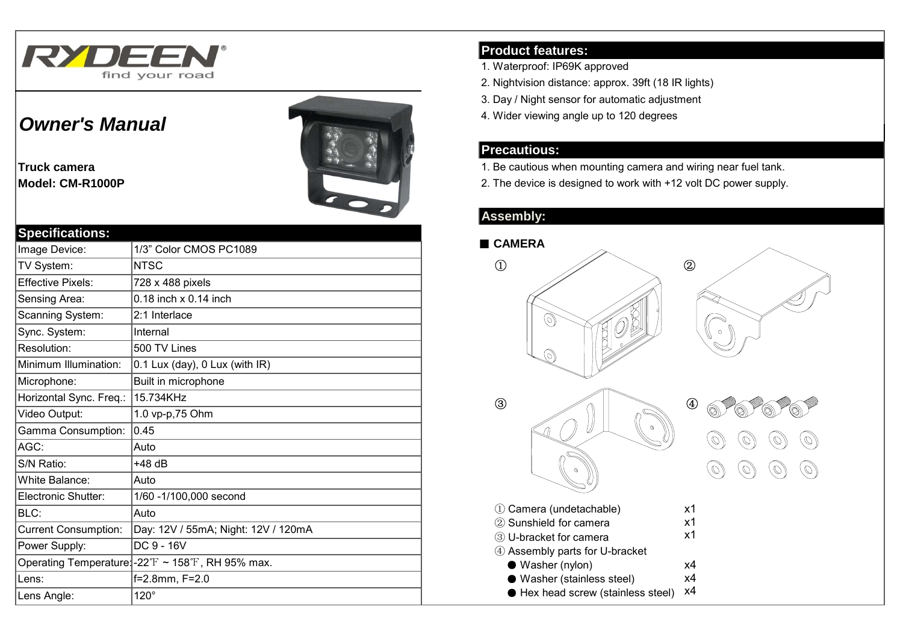

# *Owner's Manual*

**Truck camera**



# **Specifications:**

| Image Device:               | 1/3" Color CMOS PC1089                                                 |
|-----------------------------|------------------------------------------------------------------------|
| TV System:                  | <b>NTSC</b>                                                            |
| <b>Effective Pixels:</b>    | 728 x 488 pixels                                                       |
| Sensing Area:               | $0.18$ inch $\times$ 0.14 inch                                         |
| Scanning System:            | 2:1 Interlace                                                          |
| Sync. System:               | Internal                                                               |
| Resolution:                 | 500 TV Lines                                                           |
| Minimum Illumination:       | 0.1 Lux (day), 0 Lux (with IR)                                         |
| Microphone:                 | Built in microphone                                                    |
| Horizontal Sync. Freq.:     | 15.734KHz                                                              |
| Video Output:               | 1.0 vp-p,75 Ohm                                                        |
| Gamma Consumption:          | 0.45                                                                   |
| AGC:                        | Auto                                                                   |
| S/N Ratio:                  | +48 dB                                                                 |
| White Balance:              | Auto                                                                   |
| Electronic Shutter:         | 1/60 - 1/100,000 second                                                |
| BLC:                        | Auto                                                                   |
| <b>Current Consumption:</b> | Day: 12V / 55mA; Night: 12V / 120mA                                    |
| Power Supply:               | DC 9 - 16V                                                             |
|                             | Operating Temperature: $-22^{\circ}$ F ~ 158 $^{\circ}$ F, RH 95% max. |
| Lens:                       | f=2.8mm, F=2.0                                                         |
| Lens Angle:                 | $120^\circ$                                                            |

## **Product features:**

- 1. Waterproof: IP69K approved
- 2. Nightvision distance: approx. 39ft (18 IR lights)
- 3. Day / Night sensor for automatic adjustment
- 4. Wider viewing angle up to 120 degrees

#### **Precautious:**

- 1. Be cautious when mounting camera and wiring near fuel tank.
- **Model: CM-R1000P EXECUTE: CM-R1000P 2. The device is designed to work with +12 volt DC power supply.**

# **Assembly:**